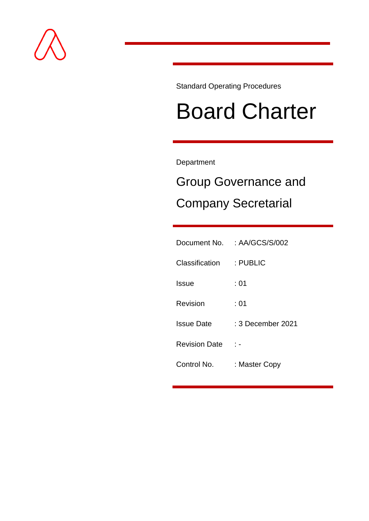

Standard Operating Procedures

# Board Charter

Department

# Group Governance and Company Secretarial

|                         | Document No. : AA/GCS/S/002 |
|-------------------------|-----------------------------|
| Classification : PUBLIC |                             |
| Issue                   | :01                         |
| Revision                | : 01                        |
| <b>Issue Date</b>       | : 3 December 2021           |
| <b>Revision Date</b>    | t –                         |
| Control No.             | : Master Copy               |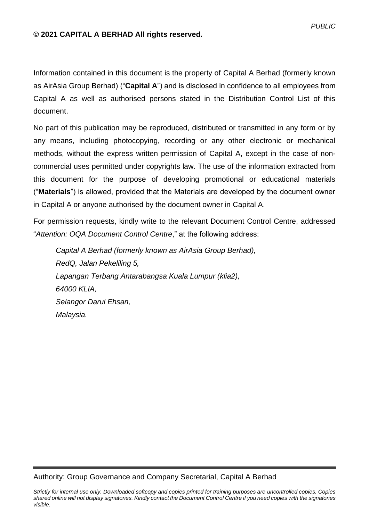#### **© 2021 CAPITAL A BERHAD All rights reserved.**

Information contained in this document is the property of Capital A Berhad (formerly known as AirAsia Group Berhad) ("**Capital A**") and is disclosed in confidence to all employees from Capital A as well as authorised persons stated in the Distribution Control List of this document.

No part of this publication may be reproduced, distributed or transmitted in any form or by any means, including photocopying, recording or any other electronic or mechanical methods, without the express written permission of Capital A, except in the case of noncommercial uses permitted under copyrights law. The use of the information extracted from this document for the purpose of developing promotional or educational materials ("**Materials**") is allowed, provided that the Materials are developed by the document owner in Capital A or anyone authorised by the document owner in Capital A.

For permission requests, kindly write to the relevant Document Control Centre, addressed "*Attention: OQA Document Control Centre*," at the following address:

*Capital A Berhad (formerly known as AirAsia Group Berhad), RedQ, Jalan Pekeliling 5, Lapangan Terbang Antarabangsa Kuala Lumpur (klia2), 64000 KLIA, Selangor Darul Ehsan, Malaysia.*

#### Authority: Group Governance and Company Secretarial, Capital A Berhad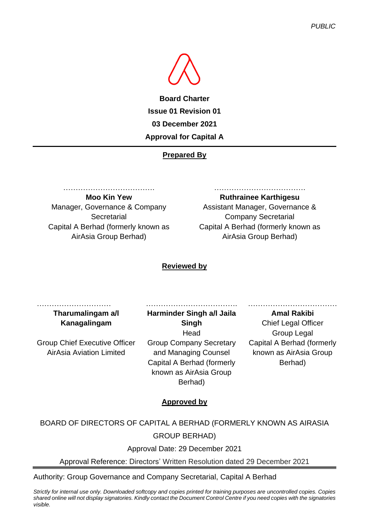

**Board Charter Issue 01 Revision 01 03 December 2021 Approval for Capital A**

# **Prepared By**

……………………………….

**Moo Kin Yew** Manager, Governance & Company **Secretarial** Capital A Berhad (formerly known as AirAsia Group Berhad)

……………………………….

**Ruthrainee Karthigesu** Assistant Manager, Governance & Company Secretarial Capital A Berhad (formerly known as AirAsia Group Berhad)

# **Reviewed by**

………………………… **Tharumalingam a/l Kanagalingam**

Group Chief Executive Officer AirAsia Aviation Limited

**Harminder Singh a/l Jaila Singh** Head Group Company Secretary and Managing Counsel Capital A Berhad (formerly known as AirAsia Group Berhad)

……………………………….

#### …………………………………………………… **Amal Rakibi**

Chief Legal Officer Group Legal Capital A Berhad (formerly known as AirAsia Group Berhad)

# **Approved by**

# BOARD OF DIRECTORS OF CAPITAL A BERHAD (FORMERLY KNOWN AS AIRASIA GROUP BERHAD)

Approval Date: 29 December 2021

Approval Reference: Directors' Written Resolution dated 29 December 2021

Authority: Group Governance and Company Secretarial, Capital A Berhad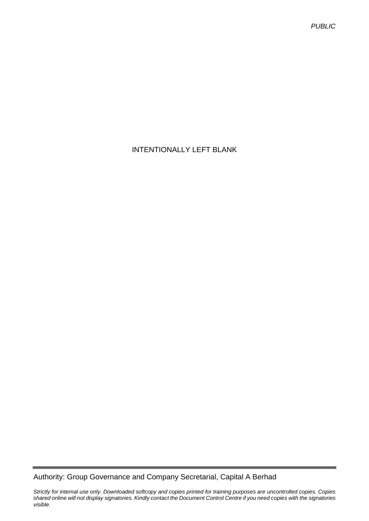*PUBLIC*

# INTENTIONALLY LEFT BLANK

Authority: Group Governance and Company Secretarial, Capital A Berhad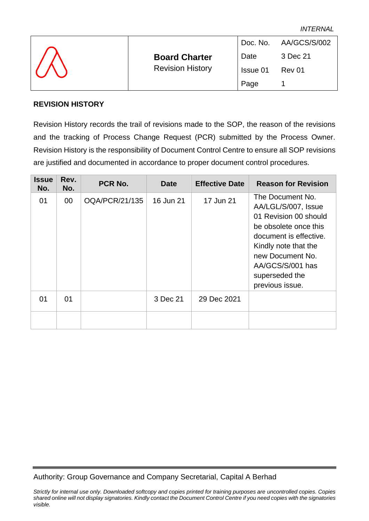|                  |                         |          | Doc. No. AA/GCS/S/002 |
|------------------|-------------------------|----------|-----------------------|
| $\sqrt{\lambda}$ | <b>Board Charter</b>    | Date     | 3 Dec 21              |
|                  | <b>Revision History</b> | Issue 01 | Rev 01                |
|                  |                         | Page     |                       |

#### <span id="page-4-0"></span>**REVISION HISTORY**

Revision History records the trail of revisions made to the SOP, the reason of the revisions and the tracking of Process Change Request (PCR) submitted by the Process Owner. Revision History is the responsibility of Document Control Centre to ensure all SOP revisions are justified and documented in accordance to proper document control procedures.

| <b>Issue</b><br>No. | Rev.<br>No. | PCR No.        | <b>Date</b> | <b>Effective Date</b> | <b>Reason for Revision</b>                                                                                                                                                                                               |
|---------------------|-------------|----------------|-------------|-----------------------|--------------------------------------------------------------------------------------------------------------------------------------------------------------------------------------------------------------------------|
| 01                  | 00          | OQA/PCR/21/135 | 16 Jun 21   | 17 Jun 21             | The Document No.<br>AA/LGL/S/007, Issue<br>01 Revision 00 should<br>be obsolete once this<br>document is effective.<br>Kindly note that the<br>new Document No.<br>AA/GCS/S/001 has<br>superseded the<br>previous issue. |
| 01                  | 01          |                | 3 Dec 21    | 29 Dec 2021           |                                                                                                                                                                                                                          |
|                     |             |                |             |                       |                                                                                                                                                                                                                          |

# Authority: Group Governance and Company Secretarial, Capital A Berhad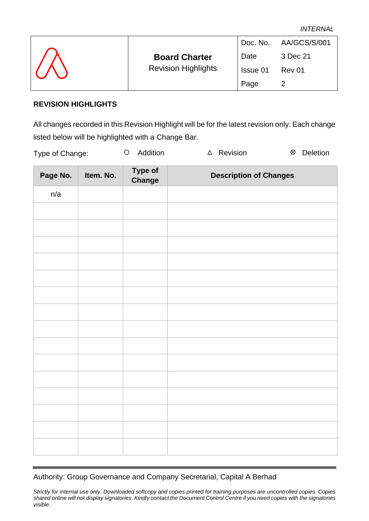|                  |                            |          | Doc. No. AA/GCS/S/001 |
|------------------|----------------------------|----------|-----------------------|
|                  | <b>Board Charter</b>       | Date     | 3 Dec 21              |
| $\sqrt{\lambda}$ | <b>Revision Highlights</b> | Issue 01 | Rev 01                |
|                  |                            | Page     |                       |

#### <span id="page-5-0"></span>**REVISION HIGHLIGHTS**

All changes recorded in this Revision Highlight will be for the latest revision only. Each change listed below will be highlighted with a Change Bar.

| Type of Change: |           | Addition                 | ⊗<br>Revision<br><b>Deletion</b><br>Δ |
|-----------------|-----------|--------------------------|---------------------------------------|
| Page No.        | Item. No. | <b>Type of</b><br>Change | <b>Description of Changes</b>         |
| n/a             |           |                          |                                       |
|                 |           |                          |                                       |

Authority: Group Governance and Company Secretarial, Capital A Berhad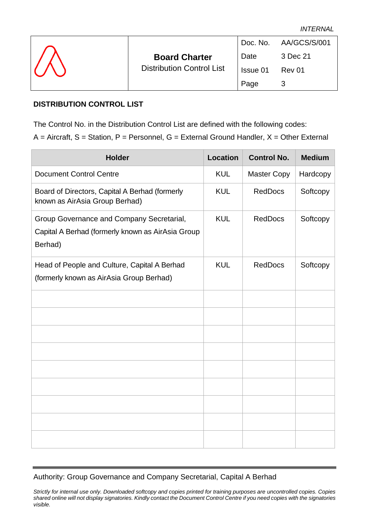|                    |                                  |          | Doc. No. AA/GCS/S/001 |
|--------------------|----------------------------------|----------|-----------------------|
| $\sqrt{\triangle}$ | <b>Board Charter</b>             | Date     | 3 Dec 21              |
|                    | <b>Distribution Control List</b> | Issue 01 | Rev 01                |
|                    |                                  | Page     |                       |

#### <span id="page-6-0"></span>**DISTRIBUTION CONTROL LIST**

The Control No. in the Distribution Control List are defined with the following codes:

 $A =$  Aircraft, S = Station, P = Personnel, G = External Ground Handler, X = Other External

| <b>Holder</b>                                                                                             | <b>Location</b> | <b>Control No.</b> | <b>Medium</b> |
|-----------------------------------------------------------------------------------------------------------|-----------------|--------------------|---------------|
| <b>Document Control Centre</b>                                                                            | <b>KUL</b>      | <b>Master Copy</b> | Hardcopy      |
| Board of Directors, Capital A Berhad (formerly<br>known as AirAsia Group Berhad)                          | <b>KUL</b>      | <b>RedDocs</b>     | Softcopy      |
| Group Governance and Company Secretarial,<br>Capital A Berhad (formerly known as AirAsia Group<br>Berhad) | <b>KUL</b>      | <b>RedDocs</b>     | Softcopy      |
| Head of People and Culture, Capital A Berhad<br>(formerly known as AirAsia Group Berhad)                  | <b>KUL</b>      | <b>RedDocs</b>     | Softcopy      |
|                                                                                                           |                 |                    |               |
|                                                                                                           |                 |                    |               |
|                                                                                                           |                 |                    |               |
|                                                                                                           |                 |                    |               |
|                                                                                                           |                 |                    |               |
|                                                                                                           |                 |                    |               |
|                                                                                                           |                 |                    |               |
|                                                                                                           |                 |                    |               |
|                                                                                                           |                 |                    |               |

Authority: Group Governance and Company Secretarial, Capital A Berhad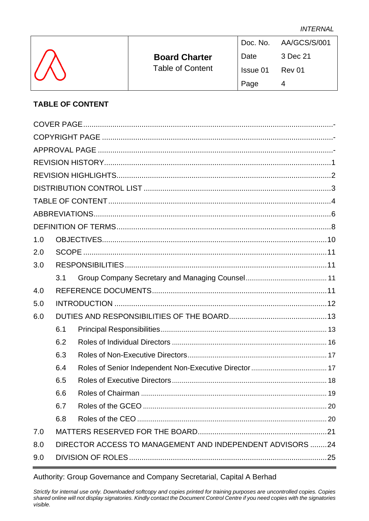|  |                         |          | Doc. No. AA/GCS/S/001 |
|--|-------------------------|----------|-----------------------|
|  | <b>Board Charter</b>    | Date     | 3 Dec 21              |
|  | <b>Table of Content</b> | Issue 01 | Rev 01                |
|  |                         | Page     |                       |

# <span id="page-7-0"></span>**TABLE OF CONTENT**

| 1.0 |     |                                                           |
|-----|-----|-----------------------------------------------------------|
| 2.0 |     |                                                           |
| 3.0 |     |                                                           |
|     | 3.1 |                                                           |
| 4.0 |     |                                                           |
| 5.0 |     |                                                           |
| 6.0 |     |                                                           |
|     | 6.1 |                                                           |
|     | 6.2 |                                                           |
|     | 6.3 |                                                           |
|     | 6.4 |                                                           |
|     | 6.5 |                                                           |
|     | 6.6 |                                                           |
|     | 6.7 |                                                           |
|     | 6.8 |                                                           |
| 7.0 |     |                                                           |
| 8.0 |     | DIRECTOR ACCESS TO MANAGEMENT AND INDEPENDENT ADVISORS 24 |
| 9.0 |     |                                                           |

# Authority: Group Governance and Company Secretarial, Capital A Berhad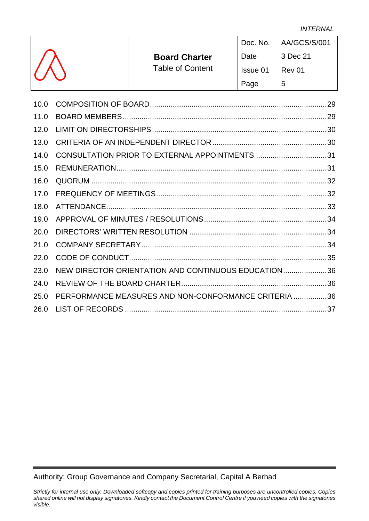|                         |          | Doc. No. AA/GCS/S/001 |
|-------------------------|----------|-----------------------|
| <b>Board Charter</b>    | Date     | 3 Dec 21              |
| <b>Table of Content</b> | Issue 01 | Rev 01                |
|                         | Page     | 5                     |
|                         |          |                       |

| 10.0 |                                                      |  |
|------|------------------------------------------------------|--|
| 11.0 |                                                      |  |
| 12.0 |                                                      |  |
| 13.0 |                                                      |  |
| 14.0 | CONSULTATION PRIOR TO EXTERNAL APPOINTMENTS 31       |  |
| 15.0 |                                                      |  |
| 16.0 |                                                      |  |
| 17.0 |                                                      |  |
| 18.0 |                                                      |  |
| 19.0 |                                                      |  |
| 20.0 |                                                      |  |
| 21.0 |                                                      |  |
| 22.0 |                                                      |  |
| 23.0 | NEW DIRECTOR ORIENTATION AND CONTINUOUS EDUCATION36  |  |
| 24.0 |                                                      |  |
| 25.0 | PERFORMANCE MEASURES AND NON-CONFORMANCE CRITERIA 36 |  |
| 26.0 |                                                      |  |

Authority: Group Governance and Company Secretarial, Capital A Berhad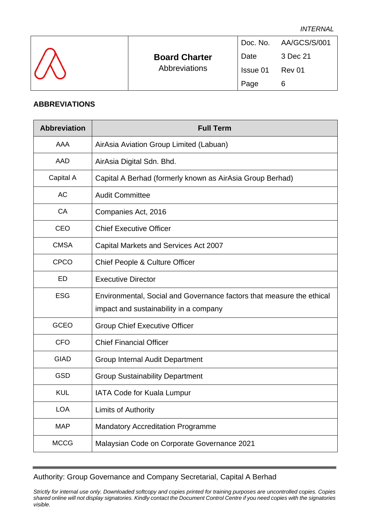|                  |                      |          | Doc. No. AA/GCS/S/001 |
|------------------|----------------------|----------|-----------------------|
|                  | <b>Board Charter</b> | Date     | 3 Dec 21              |
| $\sqrt{\Lambda}$ | Abbreviations        | Issue 01 | Rev 01                |
|                  |                      | Page     | 6                     |

# <span id="page-9-0"></span>**ABBREVIATIONS**

| <b>Abbreviation</b> | <b>Full Term</b>                                                      |
|---------------------|-----------------------------------------------------------------------|
| AAA                 | AirAsia Aviation Group Limited (Labuan)                               |
| <b>AAD</b>          | AirAsia Digital Sdn. Bhd.                                             |
| Capital A           | Capital A Berhad (formerly known as AirAsia Group Berhad)             |
| <b>AC</b>           | <b>Audit Committee</b>                                                |
| <b>CA</b>           | Companies Act, 2016                                                   |
| <b>CEO</b>          | <b>Chief Executive Officer</b>                                        |
| <b>CMSA</b>         | Capital Markets and Services Act 2007                                 |
| <b>CPCO</b>         | Chief People & Culture Officer                                        |
| <b>ED</b>           | <b>Executive Director</b>                                             |
| <b>ESG</b>          | Environmental, Social and Governance factors that measure the ethical |
|                     | impact and sustainability in a company                                |
| <b>GCEO</b>         | <b>Group Chief Executive Officer</b>                                  |
| <b>CFO</b>          | <b>Chief Financial Officer</b>                                        |
| <b>GIAD</b>         | Group Internal Audit Department                                       |
| <b>GSD</b>          | <b>Group Sustainability Department</b>                                |
| <b>KUL</b>          | <b>IATA Code for Kuala Lumpur</b>                                     |
| <b>LOA</b>          | <b>Limits of Authority</b>                                            |
| <b>MAP</b>          | <b>Mandatory Accreditation Programme</b>                              |
| <b>MCCG</b>         | Malaysian Code on Corporate Governance 2021                           |

# Authority: Group Governance and Company Secretarial, Capital A Berhad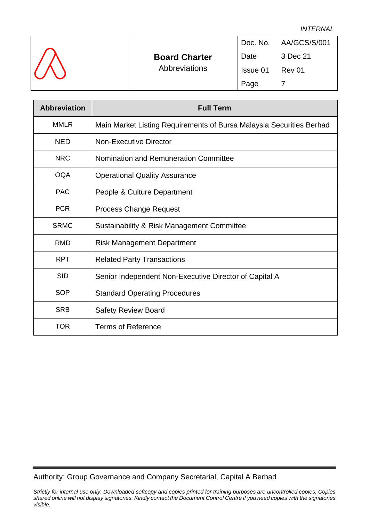|            |                      |          | Doc. No. AA/GCS/S/001 |
|------------|----------------------|----------|-----------------------|
|            | <b>Board Charter</b> | Date     | 3 Dec 21              |
| $\sqrt{ }$ | Abbreviations        | Issue 01 | Rev 01                |
|            |                      | Page     |                       |

| <b>Abbreviation</b> | <b>Full Term</b>                                                     |
|---------------------|----------------------------------------------------------------------|
| <b>MMLR</b>         | Main Market Listing Requirements of Bursa Malaysia Securities Berhad |
| <b>NED</b>          | <b>Non-Executive Director</b>                                        |
| <b>NRC</b>          | Nomination and Remuneration Committee                                |
| <b>OQA</b>          | <b>Operational Quality Assurance</b>                                 |
| <b>PAC</b>          | People & Culture Department                                          |
| <b>PCR</b>          | <b>Process Change Request</b>                                        |
| <b>SRMC</b>         | Sustainability & Risk Management Committee                           |
| <b>RMD</b>          | <b>Risk Management Department</b>                                    |
| <b>RPT</b>          | <b>Related Party Transactions</b>                                    |
| <b>SID</b>          | Senior Independent Non-Executive Director of Capital A               |
| <b>SOP</b>          | <b>Standard Operating Procedures</b>                                 |
| <b>SRB</b>          | <b>Safety Review Board</b>                                           |
| TOR                 | <b>Terms of Reference</b>                                            |

Authority: Group Governance and Company Secretarial, Capital A Berhad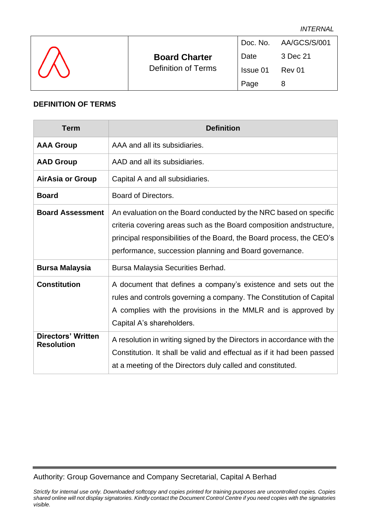|                  |                            |          | Doc. No. AA/GCS/S/001 |
|------------------|----------------------------|----------|-----------------------|
| $\sqrt{\lambda}$ | <b>Board Charter</b>       | Date     | 3 Dec 21              |
|                  | <b>Definition of Terms</b> | Issue 01 | <b>Rev 01</b>         |
|                  |                            | Page     | 8                     |

#### <span id="page-11-0"></span>**DEFINITION OF TERMS**

| <b>Term</b>                                    | <b>Definition</b>                                                                                                                                                                                                                                                            |
|------------------------------------------------|------------------------------------------------------------------------------------------------------------------------------------------------------------------------------------------------------------------------------------------------------------------------------|
| <b>AAA Group</b>                               | AAA and all its subsidiaries.                                                                                                                                                                                                                                                |
| <b>AAD Group</b>                               | AAD and all its subsidiaries.                                                                                                                                                                                                                                                |
| <b>AirAsia or Group</b>                        | Capital A and all subsidiaries.                                                                                                                                                                                                                                              |
| <b>Board</b>                                   | Board of Directors.                                                                                                                                                                                                                                                          |
| <b>Board Assessment</b>                        | An evaluation on the Board conducted by the NRC based on specific<br>criteria covering areas such as the Board composition and structure,<br>principal responsibilities of the Board, the Board process, the CEO's<br>performance, succession planning and Board governance. |
| <b>Bursa Malaysia</b>                          | Bursa Malaysia Securities Berhad.                                                                                                                                                                                                                                            |
| <b>Constitution</b>                            | A document that defines a company's existence and sets out the<br>rules and controls governing a company. The Constitution of Capital<br>A complies with the provisions in the MMLR and is approved by<br>Capital A's shareholders.                                          |
| <b>Directors' Written</b><br><b>Resolution</b> | A resolution in writing signed by the Directors in accordance with the<br>Constitution. It shall be valid and effectual as if it had been passed<br>at a meeting of the Directors duly called and constituted.                                                               |

# Authority: Group Governance and Company Secretarial, Capital A Berhad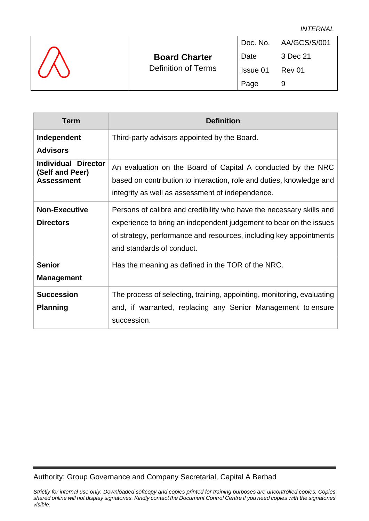|            |                            |          | Doc. No. AA/GCS/S/001 |
|------------|----------------------------|----------|-----------------------|
|            | <b>Board Charter</b>       | Date     | 3 Dec 21              |
| $(\wedge)$ | <b>Definition of Terms</b> | Issue 01 | Rev 01                |
|            |                            | Page     |                       |

| <b>Term</b>                                                           | <b>Definition</b>                                                                                                                                                                                                                             |
|-----------------------------------------------------------------------|-----------------------------------------------------------------------------------------------------------------------------------------------------------------------------------------------------------------------------------------------|
| Independent                                                           | Third-party advisors appointed by the Board.                                                                                                                                                                                                  |
| <b>Advisors</b>                                                       |                                                                                                                                                                                                                                               |
| <b>Director</b><br>Individual<br>(Self and Peer)<br><b>Assessment</b> | An evaluation on the Board of Capital A conducted by the NRC<br>based on contribution to interaction, role and duties, knowledge and<br>integrity as well as assessment of independence.                                                      |
| <b>Non-Executive</b><br><b>Directors</b>                              | Persons of calibre and credibility who have the necessary skills and<br>experience to bring an independent judgement to bear on the issues<br>of strategy, performance and resources, including key appointments<br>and standards of conduct. |
| <b>Senior</b><br><b>Management</b>                                    | Has the meaning as defined in the TOR of the NRC.                                                                                                                                                                                             |
| <b>Succession</b><br><b>Planning</b>                                  | The process of selecting, training, appointing, monitoring, evaluating<br>and, if warranted, replacing any Senior Management to ensure<br>succession.                                                                                         |

Authority: Group Governance and Company Secretarial, Capital A Berhad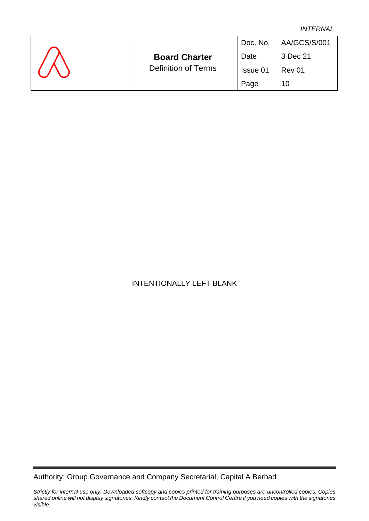<span id="page-13-0"></span>

|                                                    |          | Doc. No. AA/GCS/S/001 |
|----------------------------------------------------|----------|-----------------------|
| <b>Board Charter</b><br><b>Definition of Terms</b> | Date     | 3 Dec 21              |
|                                                    | Issue 01 | Rev 01                |
|                                                    | Page     | 10                    |

# INTENTIONALLY LEFT BLANK

Authority: Group Governance and Company Secretarial, Capital A Berhad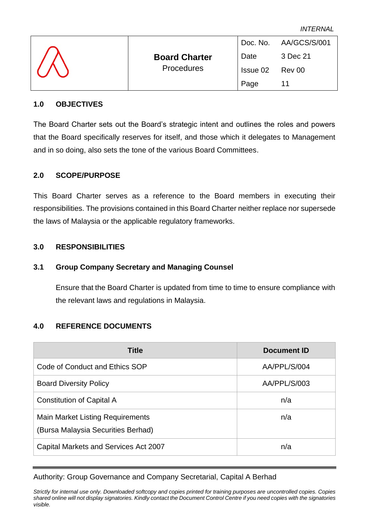|             |                      |          | Doc. No. AA/GCS/S/001 |
|-------------|----------------------|----------|-----------------------|
| $\bigwedge$ | <b>Board Charter</b> | Date     | 3 Dec 21              |
|             | <b>Procedures</b>    | Issue 02 | Rev 00                |
|             |                      | Page     | 11                    |

#### **1.0 OBJECTIVES**

The Board Charter sets out the Board's strategic intent and outlines the roles and powers that the Board specifically reserves for itself, and those which it delegates to Management and in so doing, also sets the tone of the various Board Committees.

#### <span id="page-14-0"></span>**2.0 SCOPE/PURPOSE**

This Board Charter serves as a reference to the Board members in executing their responsibilities. The provisions contained in this Board Charter neither replace nor supersede the laws of Malaysia or the applicable regulatory frameworks.

#### <span id="page-14-1"></span>**3.0 RESPONSIBILITIES**

#### <span id="page-14-2"></span>**3.1 Group Company Secretary and Managing Counsel**

Ensure that the Board Charter is updated from time to time to ensure compliance with the relevant laws and regulations in Malaysia.

# <span id="page-14-3"></span>**4.0 REFERENCE DOCUMENTS**

| <b>Title</b>                                                                  | Document ID  |
|-------------------------------------------------------------------------------|--------------|
| Code of Conduct and Ethics SOP                                                | AA/PPL/S/004 |
| <b>Board Diversity Policy</b>                                                 | AA/PPL/S/003 |
| Constitution of Capital A                                                     | n/a          |
| <b>Main Market Listing Requirements</b><br>(Bursa Malaysia Securities Berhad) | n/a          |
| Capital Markets and Services Act 2007                                         | n/a          |

# Authority: Group Governance and Company Secretarial, Capital A Berhad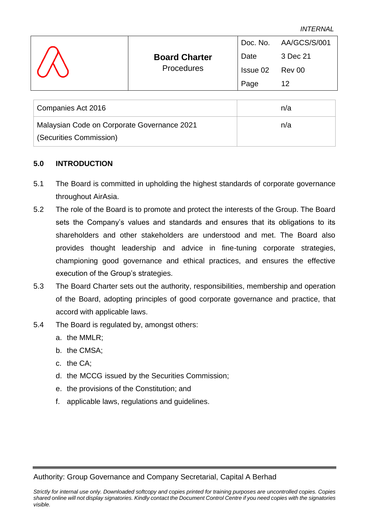|                      |          | Doc. No. AA/GCS/S/001 |
|----------------------|----------|-----------------------|
| <b>Board Charter</b> | Date     | 3 Dec 21              |
| Procedures           | Issue 02 | Rev 00                |
|                      | Page     | 12                    |

| Companies Act 2016                          | n/a |
|---------------------------------------------|-----|
| Malaysian Code on Corporate Governance 2021 | n/a |
| (Securities Commission)                     |     |

#### <span id="page-15-0"></span>**5.0 INTRODUCTION**

- 5.1 The Board is committed in upholding the highest standards of corporate governance throughout AirAsia.
- 5.2 The role of the Board is to promote and protect the interests of the Group. The Board sets the Company's values and standards and ensures that its obligations to its shareholders and other stakeholders are understood and met. The Board also provides thought leadership and advice in fine-tuning corporate strategies, championing good governance and ethical practices, and ensures the effective execution of the Group's strategies.
- 5.3 The Board Charter sets out the authority, responsibilities, membership and operation of the Board, adopting principles of good corporate governance and practice, that accord with applicable laws.
- 5.4 The Board is regulated by, amongst others:
	- a. the MMLR;
	- b. the CMSA;
	- c. the CA;
	- d. the MCCG issued by the Securities Commission;
	- e. the provisions of the Constitution; and
	- f. applicable laws, regulations and guidelines.

Authority: Group Governance and Company Secretarial, Capital A Berhad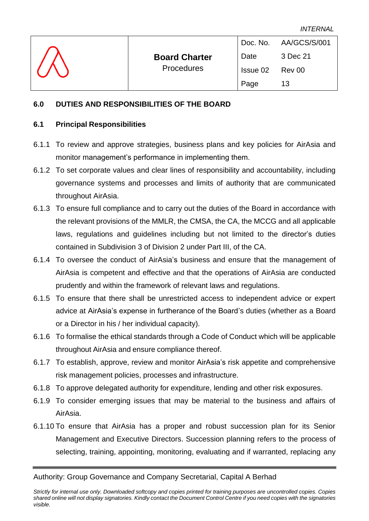| <i><b>INTERNAL</b></i> |  |
|------------------------|--|
|------------------------|--|

|                  |                      |          | Doc. No. AA/GCS/S/001 |
|------------------|----------------------|----------|-----------------------|
| $\sqrt{\Lambda}$ | <b>Board Charter</b> | Date     | 3 Dec 21              |
|                  | Procedures           | Issue 02 | Rev 00                |
|                  |                      | Page     | 13                    |

#### <span id="page-16-0"></span>**6.0 DUTIES AND RESPONSIBILITIES OF THE BOARD**

#### <span id="page-16-1"></span>**6.1 Principal Responsibilities**

- 6.1.1 To review and approve strategies, business plans and key policies for AirAsia and monitor management's performance in implementing them.
- 6.1.2 To set corporate values and clear lines of responsibility and accountability, including governance systems and processes and limits of authority that are communicated throughout AirAsia.
- 6.1.3 To ensure full compliance and to carry out the duties of the Board in accordance with the relevant provisions of the MMLR, the CMSA, the CA, the MCCG and all applicable laws, regulations and guidelines including but not limited to the director's duties contained in Subdivision 3 of Division 2 under Part III, of the CA.
- 6.1.4 To oversee the conduct of AirAsia's business and ensure that the management of AirAsia is competent and effective and that the operations of AirAsia are conducted prudently and within the framework of relevant laws and regulations.
- 6.1.5 To ensure that there shall be unrestricted access to independent advice or expert advice at AirAsia's expense in furtherance of the Board's duties (whether as a Board or a Director in his / her individual capacity).
- 6.1.6 To formalise the ethical standards through a Code of Conduct which will be applicable throughout AirAsia and ensure compliance thereof.
- 6.1.7 To establish, approve, review and monitor AirAsia's risk appetite and comprehensive risk management policies, processes and infrastructure.
- 6.1.8 To approve delegated authority for expenditure, lending and other risk exposures.
- 6.1.9 To consider emerging issues that may be material to the business and affairs of AirAsia.
- 6.1.10 To ensure that AirAsia has a proper and robust succession plan for its Senior Management and Executive Directors. Succession planning refers to the process of selecting, training, appointing, monitoring, evaluating and if warranted, replacing any

Authority: Group Governance and Company Secretarial, Capital A Berhad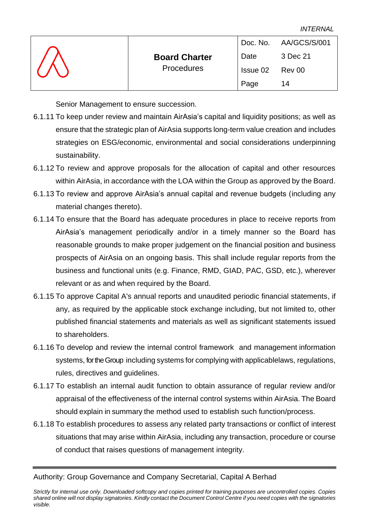| <b>INTERNAL</b> |  |
|-----------------|--|
|-----------------|--|

|             |                      |          | Doc. No. AA/GCS/S/001 |
|-------------|----------------------|----------|-----------------------|
| $\bigwedge$ | <b>Board Charter</b> | Date     | 3 Dec 21              |
|             | <b>Procedures</b>    | Issue 02 | Rev 00                |
|             |                      | Page     | 14                    |

Senior Management to ensure succession.

- 6.1.11 To keep under review and maintain AirAsia's capital and liquidity positions; as well as ensure that the strategic plan of AirAsia supports long-term value creation and includes strategies on ESG/economic, environmental and social considerations underpinning sustainability.
- 6.1.12 To review and approve proposals for the allocation of capital and other resources within AirAsia, in accordance with the LOA within the Group as approved by the Board.
- 6.1.13 To review and approve AirAsia's annual capital and revenue budgets (including any material changes thereto).
- 6.1.14 To ensure that the Board has adequate procedures in place to receive reports from AirAsia's management periodically and/or in a timely manner so the Board has reasonable grounds to make proper judgement on the financial position and business prospects of AirAsia on an ongoing basis. This shall include regular reports from the business and functional units (e.g. Finance, RMD, GIAD, PAC, GSD, etc.), wherever relevant or as and when required by the Board.
- 6.1.15 To approve Capital A's annual reports and unaudited periodic financial statements, if any, as required by the applicable stock exchange including, but not limited to, other published financial statements and materials as well as significant statements issued to shareholders.
- 6.1.16 To develop and review the internal control framework and management information systems, for the Group including systems for complying with applicablelaws, regulations, rules, directives and guidelines.
- 6.1.17 To establish an internal audit function to obtain assurance of regular review and/or appraisal of the effectiveness of the internal control systems within AirAsia. The Board should explain in summary the method used to establish such function/process.
- 6.1.18 To establish procedures to assess any related party transactions or conflict of interest situations that may arise within AirAsia, including any transaction, procedure or course of conduct that raises questions of management integrity.

Authority: Group Governance and Company Secretarial, Capital A Berhad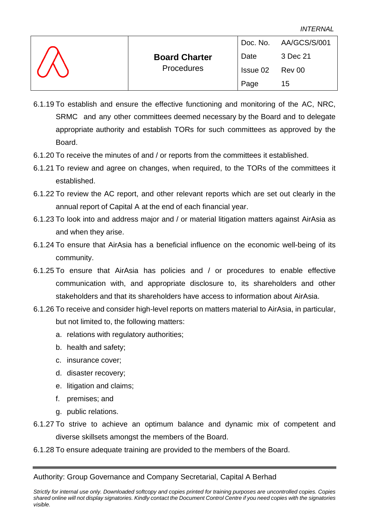|                      |                      |          | Doc. No. AA/GCS/S/001 |
|----------------------|----------------------|----------|-----------------------|
| $\sqrt{\phantom{a}}$ | <b>Board Charter</b> | Date     | 3 Dec 21              |
|                      | <b>Procedures</b>    | Issue 02 | Rev 00                |
|                      |                      | Page     | 15                    |

- 6.1.19 To establish and ensure the effective functioning and monitoring of the AC, NRC, SRMC and any other committees deemed necessary by the Board and to delegate appropriate authority and establish TORs for such committees as approved by the Board.
- 6.1.20 To receive the minutes of and / or reports from the committees it established.
- 6.1.21 To review and agree on changes, when required, to the TORs of the committees it established.
- 6.1.22 To review the AC report, and other relevant reports which are set out clearly in the annual report of Capital A at the end of each financial year.
- 6.1.23 To look into and address major and / or material litigation matters against AirAsia as and when they arise.
- 6.1.24 To ensure that AirAsia has a beneficial influence on the economic well-being of its community.
- 6.1.25 To ensure that AirAsia has policies and / or procedures to enable effective communication with, and appropriate disclosure to, its shareholders and other stakeholders and that its shareholders have access to information about AirAsia.
- 6.1.26 To receive and consider high-level reports on matters material to AirAsia, in particular, but not limited to, the following matters:
	- a. relations with regulatory authorities;
	- b. health and safety;
	- c. insurance cover;
	- d. disaster recovery;
	- e. litigation and claims;
	- f. premises; and
	- g. public relations.
- 6.1.27 To strive to achieve an optimum balance and dynamic mix of competent and diverse skillsets amongst the members of the Board.
- 6.1.28 To ensure adequate training are provided to the members of the Board.

# Authority: Group Governance and Company Secretarial, Capital A Berhad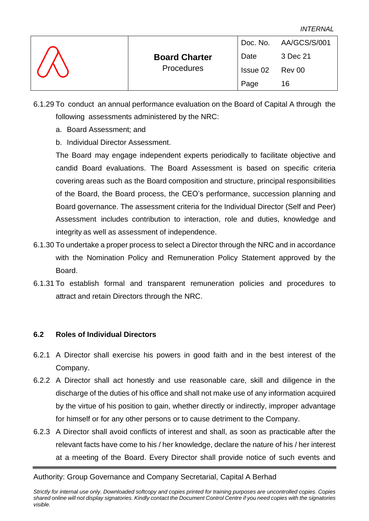|  |                      |          | Doc. No. AA/GCS/S/001 |
|--|----------------------|----------|-----------------------|
|  | <b>Board Charter</b> | Date     | 3 Dec 21              |
|  | Procedures           | Issue 02 | Rev 00                |
|  |                      | Page     | 16                    |

- 6.1.29 To conduct an annual performance evaluation on the Board of Capital A through the following assessments administered by the NRC:
	- a. Board Assessment; and
	- b. Individual Director Assessment.

The Board may engage independent experts periodically to facilitate objective and candid Board evaluations. The Board Assessment is based on specific criteria covering areas such as the Board composition and structure, principal responsibilities of the Board, the Board process, the CEO's performance, succession planning and Board governance. The assessment criteria for the Individual Director (Self and Peer) Assessment includes contribution to interaction, role and duties, knowledge and integrity as well as assessment of independence.

- 6.1.30 To undertake a proper process to select a Director through the NRC and in accordance with the Nomination Policy and Remuneration Policy Statement approved by the Board.
- 6.1.31 To establish formal and transparent remuneration policies and procedures to attract and retain Directors through the NRC.

# <span id="page-19-0"></span>**6.2 Roles of Individual Directors**

- 6.2.1 A Director shall exercise his powers in good faith and in the best interest of the Company.
- 6.2.2 A Director shall act honestly and use reasonable care, skill and diligence in the discharge of the duties of his office and shall not make use of any information acquired by the virtue of his position to gain, whether directly or indirectly, improper advantage for himself or for any other persons or to cause detriment to the Company.
- 6.2.3 A Director shall avoid conflicts of interest and shall, as soon as practicable after the relevant facts have come to his / her knowledge, declare the nature of his / her interest at a meeting of the Board. Every Director shall provide notice of such events and

Authority: Group Governance and Company Secretarial, Capital A Berhad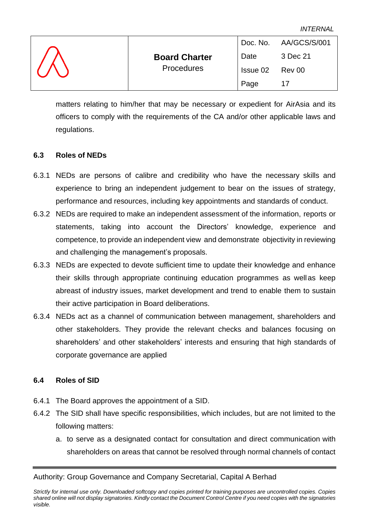|  |                      |                 | Doc. No. AA/GCS/S/001 |
|--|----------------------|-----------------|-----------------------|
|  | <b>Board Charter</b> | Date            | 3 Dec 21              |
|  | <b>Procedures</b>    | Issue 02 Rev 00 |                       |
|  |                      | Page            |                       |

matters relating to him/her that may be necessary or expedient for AirAsia and its officers to comply with the requirements of the CA and/or other applicable laws and regulations.

#### <span id="page-20-0"></span>**6.3 Roles of NEDs**

- 6.3.1 NEDs are persons of calibre and credibility who have the necessary skills and experience to bring an independent judgement to bear on the issues of strategy, performance and resources, including key appointments and standards of conduct.
- 6.3.2 NEDs are required to make an independent assessment of the information, reports or statements, taking into account the Directors' knowledge, experience and competence, to provide an independent view and demonstrate objectivity in reviewing and challenging the management's proposals.
- 6.3.3 NEDs are expected to devote sufficient time to update their knowledge and enhance their skills through appropriate continuing education programmes as wellas keep abreast of industry issues, market development and trend to enable them to sustain their active participation in Board deliberations.
- 6.3.4 NEDs act as a channel of communication between management, shareholders and other stakeholders. They provide the relevant checks and balances focusing on shareholders' and other stakeholders' interests and ensuring that high standards of corporate governance are applied

# <span id="page-20-1"></span>**6.4 Roles of SID**

- 6.4.1 The Board approves the appointment of a SID.
- 6.4.2 The SID shall have specific responsibilities, which includes, but are not limited to the following matters:
	- a. to serve as a designated contact for consultation and direct communication with shareholders on areas that cannot be resolved through normal channels of contact

# Authority: Group Governance and Company Secretarial, Capital A Berhad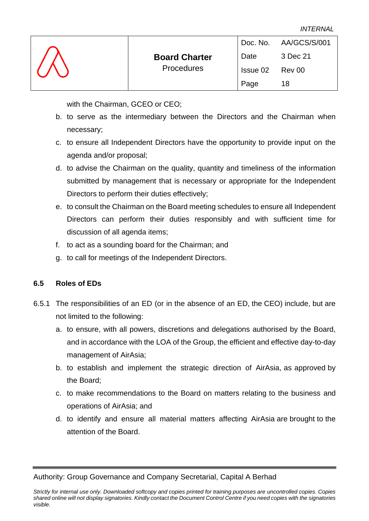|             |                      |          | Doc. No. AA/GCS/S/001 |
|-------------|----------------------|----------|-----------------------|
| $\bigwedge$ | <b>Board Charter</b> | Date     | 3 Dec 21              |
|             | <b>Procedures</b>    | Issue 02 | Rev 00                |
|             |                      | Page     |                       |

with the Chairman, GCEO or CEO;

- b. to serve as the intermediary between the Directors and the Chairman when necessary;
- c. to ensure all Independent Directors have the opportunity to provide input on the agenda and/or proposal;
- d. to advise the Chairman on the quality, quantity and timeliness of the information submitted by management that is necessary or appropriate for the Independent Directors to perform their duties effectively;
- e. to consult the Chairman on the Board meeting schedules to ensure all Independent Directors can perform their duties responsibly and with sufficient time for discussion of all agenda items;
- f. to act as a sounding board for the Chairman; and
- g. to call for meetings of the Independent Directors.

# <span id="page-21-0"></span>**6.5 Roles of EDs**

- 6.5.1 The responsibilities of an ED (or in the absence of an ED, the CEO) include, but are not limited to the following:
	- a. to ensure, with all powers, discretions and delegations authorised by the Board, and in accordance with the LOA of the Group, the efficient and effective day-to-day management of AirAsia;
	- b. to establish and implement the strategic direction of AirAsia, as approved by the Board;
	- c. to make recommendations to the Board on matters relating to the business and operations of AirAsia; and
	- d. to identify and ensure all material matters affecting AirAsia are brought to the attention of the Board.

Authority: Group Governance and Company Secretarial, Capital A Berhad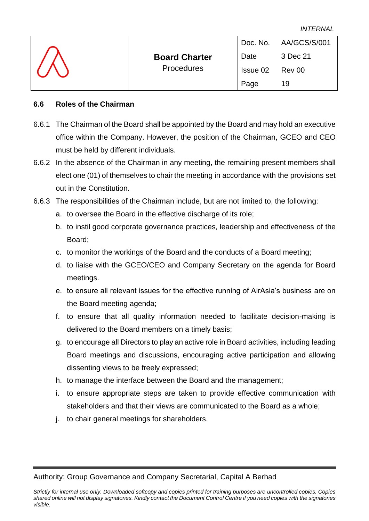|                  |                      | Doc. No. | AA/GCS/S/001 |
|------------------|----------------------|----------|--------------|
| $\sqrt{\lambda}$ | <b>Board Charter</b> | Date     | 3 Dec 21     |
|                  | <b>Procedures</b>    | Issue 02 | Rev 00       |
|                  |                      | Page     | 19           |

#### <span id="page-22-0"></span>**6.6 Roles of the Chairman**

- 6.6.1 The Chairman of the Board shall be appointed by the Board and may hold an executive office within the Company. However, the position of the Chairman, GCEO and CEO must be held by different individuals.
- 6.6.2 In the absence of the Chairman in any meeting, the remaining present members shall elect one (01) of themselves to chair the meeting in accordance with the provisions set out in the Constitution.
- 6.6.3 The responsibilities of the Chairman include, but are not limited to, the following:
	- a. to oversee the Board in the effective discharge of its role;
	- b. to instil good corporate governance practices, leadership and effectiveness of the Board;
	- c. to monitor the workings of the Board and the conducts of a Board meeting;
	- d. to liaise with the GCEO/CEO and Company Secretary on the agenda for Board meetings.
	- e. to ensure all relevant issues for the effective running of AirAsia's business are on the Board meeting agenda;
	- f. to ensure that all quality information needed to facilitate decision-making is delivered to the Board members on a timely basis;
	- g. to encourage all Directors to play an active role in Board activities, including leading Board meetings and discussions, encouraging active participation and allowing dissenting views to be freely expressed;
	- h. to manage the interface between the Board and the management;
	- i. to ensure appropriate steps are taken to provide effective communication with stakeholders and that their views are communicated to the Board as a whole;
	- j. to chair general meetings for shareholders.

Authority: Group Governance and Company Secretarial, Capital A Berhad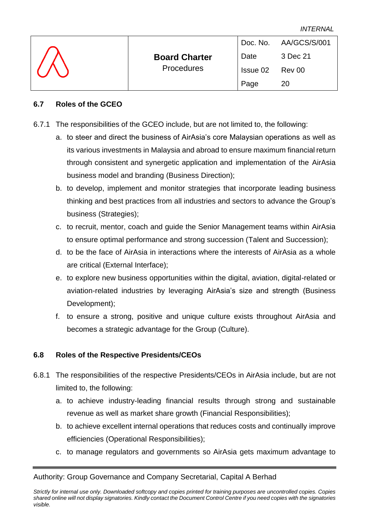|                      |                      |          | Doc. No. AA/GCS/S/001 |
|----------------------|----------------------|----------|-----------------------|
| $\sqrt{\mathcal{N}}$ | <b>Board Charter</b> | Date     | 3 Dec 21              |
|                      | <b>Procedures</b>    | Issue 02 | Rev 00                |
|                      |                      | Page     | 20                    |

#### <span id="page-23-0"></span>**6.7 Roles of the GCEO**

- 6.7.1 The responsibilities of the GCEO include, but are not limited to, the following:
	- a. to steer and direct the business of AirAsia's core Malaysian operations as well as its various investments in Malaysia and abroad to ensure maximum financial return through consistent and synergetic application and implementation of the AirAsia business model and branding (Business Direction);
	- b. to develop, implement and monitor strategies that incorporate leading business thinking and best practices from all industries and sectors to advance the Group's business (Strategies);
	- c. to recruit, mentor, coach and guide the Senior Management teams within AirAsia to ensure optimal performance and strong succession (Talent and Succession);
	- d. to be the face of AirAsia in interactions where the interests of AirAsia as a whole are critical (External Interface);
	- e. to explore new business opportunities within the digital, aviation, digital-related or aviation-related industries by leveraging AirAsia's size and strength (Business Development);
	- f. to ensure a strong, positive and unique culture exists throughout AirAsia and becomes a strategic advantage for the Group (Culture).

# <span id="page-23-1"></span>**6.8 Roles of the Respective Presidents/CEOs**

- 6.8.1 The responsibilities of the respective Presidents/CEOs in AirAsia include, but are not limited to, the following:
	- a. to achieve industry-leading financial results through strong and sustainable revenue as well as market share growth (Financial Responsibilities);
	- b. to achieve excellent internal operations that reduces costs and continually improve efficiencies (Operational Responsibilities);
	- c. to manage regulators and governments so AirAsia gets maximum advantage to

#### Authority: Group Governance and Company Secretarial, Capital A Berhad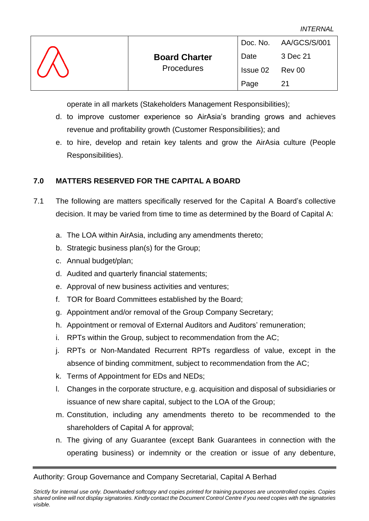| <b>INTERNAL</b> |  |
|-----------------|--|
|-----------------|--|

|             |                      |          | Doc. No. AA/GCS/S/001 |
|-------------|----------------------|----------|-----------------------|
| $\bigwedge$ | <b>Board Charter</b> | Date     | 3 Dec 21              |
|             | <b>Procedures</b>    | Issue 02 | <b>Rev 00</b>         |
|             |                      | Page     |                       |

operate in all markets (Stakeholders Management Responsibilities);

- d. to improve customer experience so AirAsia's branding grows and achieves revenue and profitability growth (Customer Responsibilities); and
- e. to hire, develop and retain key talents and grow the AirAsia culture (People Responsibilities).

# <span id="page-24-0"></span>**7.0 MATTERS RESERVED FOR THE CAPITAL A BOARD**

- 7.1 The following are matters specifically reserved for the Capital A Board's collective decision. It may be varied from time to time as determined by the Board of Capital A:
	- a. The LOA within AirAsia, including any amendments thereto;
	- b. Strategic business plan(s) for the Group;
	- c. Annual budget/plan;
	- d. Audited and quarterly financial statements;
	- e. Approval of new business activities and ventures;
	- f. TOR for Board Committees established by the Board;
	- g. Appointment and/or removal of the Group Company Secretary;
	- h. Appointment or removal of External Auditors and Auditors' remuneration;
	- i. RPTs within the Group, subject to recommendation from the AC;
	- j. RPTs or Non-Mandated Recurrent RPTs regardless of value, except in the absence of binding commitment, subject to recommendation from the AC;
	- k. Terms of Appointment for EDs and NEDs;
	- l. Changes in the corporate structure, e.g. acquisition and disposal of subsidiaries or issuance of new share capital, subject to the LOA of the Group;
	- m. Constitution, including any amendments thereto to be recommended to the shareholders of Capital A for approval;
	- n. The giving of any Guarantee (except Bank Guarantees in connection with the operating business) or indemnity or the creation or issue of any debenture,

#### Authority: Group Governance and Company Secretarial, Capital A Berhad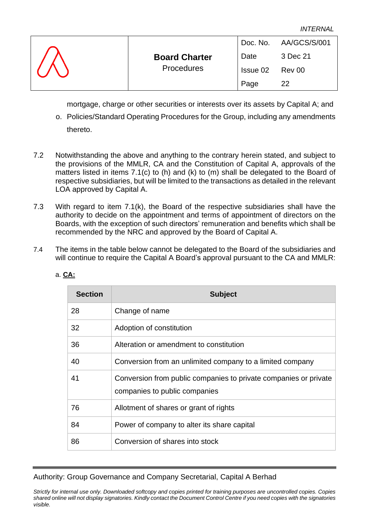|                      |                      |          | Doc. No. AA/GCS/S/001 |
|----------------------|----------------------|----------|-----------------------|
| $\sqrt{\mathcal{N}}$ | <b>Board Charter</b> | Date     | 3 Dec 21              |
|                      | <b>Procedures</b>    | Issue 02 | Rev 00                |
|                      |                      | Page     | 22                    |

mortgage, charge or other securities or interests over its assets by Capital A; and

- o. Policies/Standard Operating Procedures for the Group, including any amendments thereto.
- 7.2 Notwithstanding the above and anything to the contrary herein stated, and subject to the provisions of the MMLR, CA and the Constitution of Capital A, approvals of the matters listed in items 7.1(c) to (h) and (k) to (m) shall be delegated to the Board of respective subsidiaries, but will be limited to the transactions as detailed in the relevant LOA approved by Capital A.
- 7.3 With regard to item 7.1(k), the Board of the respective subsidiaries shall have the authority to decide on the appointment and terms of appointment of directors on the Boards, with the exception of such directors' remuneration and benefits which shall be recommended by the NRC and approved by the Board of Capital A.
- 7.4 The items in the table below cannot be delegated to the Board of the subsidiaries and will continue to require the Capital A Board's approval pursuant to the CA and MMLR:

| <b>Section</b> | <b>Subject</b>                                                                                    |
|----------------|---------------------------------------------------------------------------------------------------|
| 28             | Change of name                                                                                    |
| 32             | Adoption of constitution                                                                          |
| 36             | Alteration or amendment to constitution                                                           |
| 40             | Conversion from an unlimited company to a limited company                                         |
| 41             | Conversion from public companies to private companies or private<br>companies to public companies |
| 76             | Allotment of shares or grant of rights                                                            |
| 84             | Power of company to alter its share capital                                                       |
| 86             | Conversion of shares into stock                                                                   |

#### a. **CA:**

Authority: Group Governance and Company Secretarial, Capital A Berhad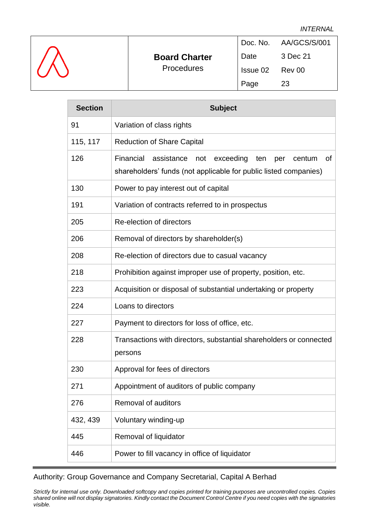|            |                      |          | Doc. No. AA/GCS/S/001 |
|------------|----------------------|----------|-----------------------|
| $\sqrt{2}$ | <b>Board Charter</b> | Date     | 3 Dec 21              |
|            | <b>Procedures</b>    | Issue 02 | Rev 00                |
|            |                      | Page     | 23                    |

| <b>Section</b> | <b>Subject</b>                                                                                                                    |  |  |
|----------------|-----------------------------------------------------------------------------------------------------------------------------------|--|--|
| 91             | Variation of class rights                                                                                                         |  |  |
| 115, 117       | <b>Reduction of Share Capital</b>                                                                                                 |  |  |
| 126            | Financial assistance not<br>exceeding ten per<br>0f<br>centum<br>shareholders' funds (not applicable for public listed companies) |  |  |
| 130            | Power to pay interest out of capital                                                                                              |  |  |
| 191            | Variation of contracts referred to in prospectus                                                                                  |  |  |
| 205            | Re-election of directors                                                                                                          |  |  |
| 206            | Removal of directors by shareholder(s)                                                                                            |  |  |
| 208            | Re-election of directors due to casual vacancy                                                                                    |  |  |
| 218            | Prohibition against improper use of property, position, etc.                                                                      |  |  |
| 223            | Acquisition or disposal of substantial undertaking or property                                                                    |  |  |
| 224            | Loans to directors                                                                                                                |  |  |
| 227            | Payment to directors for loss of office, etc.                                                                                     |  |  |
| 228            | Transactions with directors, substantial shareholders or connected<br>persons                                                     |  |  |
| 230            | Approval for fees of directors                                                                                                    |  |  |
| 271            | Appointment of auditors of public company                                                                                         |  |  |
| 276            | Removal of auditors                                                                                                               |  |  |
| 432, 439       | Voluntary winding-up                                                                                                              |  |  |
| 445            | Removal of liquidator                                                                                                             |  |  |
| 446            | Power to fill vacancy in office of liquidator                                                                                     |  |  |

Authority: Group Governance and Company Secretarial, Capital A Berhad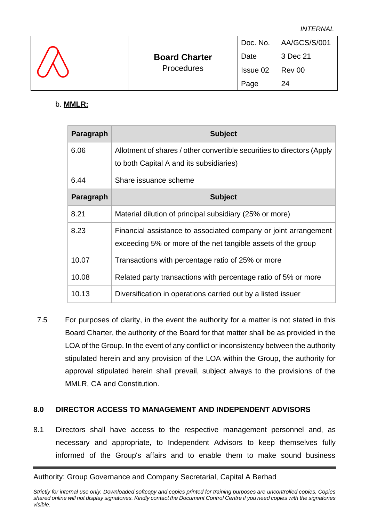|                  |                      |          | Doc. No. AA/GCS/S/001 |
|------------------|----------------------|----------|-----------------------|
| $\sqrt{\Lambda}$ | <b>Board Charter</b> | Date     | 3 Dec 21              |
|                  | Procedures           | Issue 02 | Rev 00                |
|                  |                      | Page     | 24                    |

#### b. **MMLR:**

| Paragraph | <b>Subject</b>                                                                                                                  |
|-----------|---------------------------------------------------------------------------------------------------------------------------------|
| 6.06      | Allotment of shares / other convertible securities to directors (Apply<br>to both Capital A and its subsidiaries)               |
| 6.44      | Share issuance scheme                                                                                                           |
| Paragraph | <b>Subject</b>                                                                                                                  |
| 8.21      | Material dilution of principal subsidiary (25% or more)                                                                         |
| 8.23      | Financial assistance to associated company or joint arrangement<br>exceeding 5% or more of the net tangible assets of the group |
| 10.07     | Transactions with percentage ratio of 25% or more                                                                               |
| 10.08     | Related party transactions with percentage ratio of 5% or more                                                                  |
| 10.13     | Diversification in operations carried out by a listed issuer                                                                    |

7.5 For purposes of clarity, in the event the authority for a matter is not stated in this Board Charter, the authority of the Board for that matter shall be as provided in the LOA of the Group. In the event of any conflict or inconsistency between the authority stipulated herein and any provision of the LOA within the Group, the authority for approval stipulated herein shall prevail, subject always to the provisions of the MMLR, CA and Constitution.

# <span id="page-27-0"></span>**8.0 DIRECTOR ACCESS TO MANAGEMENT AND INDEPENDENT ADVISORS**

8.1 Directors shall have access to the respective management personnel and, as necessary and appropriate, to Independent Advisors to keep themselves fully informed of the Group's affairs and to enable them to make sound business

Authority: Group Governance and Company Secretarial, Capital A Berhad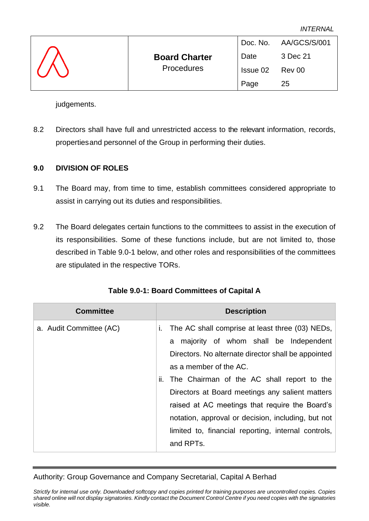|                    |                      |          | Doc. No. AA/GCS/S/001 |
|--------------------|----------------------|----------|-----------------------|
| $\sqrt{\triangle}$ | <b>Board Charter</b> | Date     | 3 Dec 21              |
|                    | Procedures           | Issue 02 | Rev 00                |
|                    |                      | Page     | 25                    |

judgements.

8.2 Directors shall have full and unrestricted access to the relevant information, records, properties and personnel of the Group in performing their duties.

#### <span id="page-28-0"></span>**9.0 DIVISION OF ROLES**

- 9.1 The Board may, from time to time, establish committees considered appropriate to assist in carrying out its duties and responsibilities.
- 9.2 The Board delegates certain functions to the committees to assist in the execution of its responsibilities. Some of these functions include, but are not limited to, those described in Table 9.0-1 below, and other roles and responsibilities of the committees are stipulated in the respective TORs.

| <b>Committee</b>        | <b>Description</b>                                                                                                                                                                                                                                                                                                                                                                                                                                              |
|-------------------------|-----------------------------------------------------------------------------------------------------------------------------------------------------------------------------------------------------------------------------------------------------------------------------------------------------------------------------------------------------------------------------------------------------------------------------------------------------------------|
| a. Audit Committee (AC) | i. The AC shall comprise at least three (03) NEDs,<br>a majority of whom shall be Independent<br>Directors. No alternate director shall be appointed<br>as a member of the AC.<br>ii. The Chairman of the AC shall report to the<br>Directors at Board meetings any salient matters<br>raised at AC meetings that require the Board's<br>notation, approval or decision, including, but not<br>limited to, financial reporting, internal controls,<br>and RPTs. |

**Table 9.0-1: Board Committees of Capital A**

# Authority: Group Governance and Company Secretarial, Capital A Berhad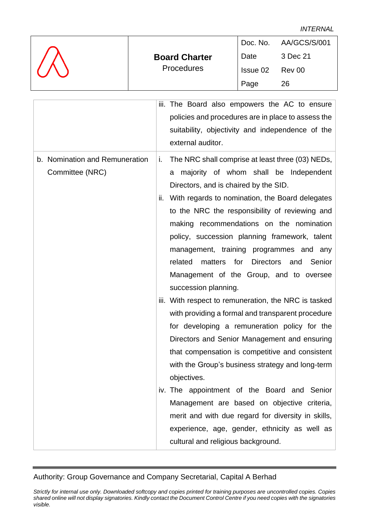|             |                      |          | Doc. No. AA/GCS/S/001 |
|-------------|----------------------|----------|-----------------------|
| $\bigwedge$ | <b>Board Charter</b> | Date     | 3 Dec 21              |
|             | Procedures           | Issue 02 | Rev 00                |
|             |                      | Page     | 26                    |

|                                |     | iii. The Board also empowers the AC to ensure<br>policies and procedures are in place to assess the<br>suitability, objectivity and independence of the |
|--------------------------------|-----|---------------------------------------------------------------------------------------------------------------------------------------------------------|
|                                |     | external auditor.                                                                                                                                       |
| b. Nomination and Remuneration | i.  | The NRC shall comprise at least three (03) NEDs,                                                                                                        |
| Committee (NRC)                |     | majority of whom shall be Independent<br>a                                                                                                              |
|                                |     | Directors, and is chaired by the SID.                                                                                                                   |
|                                | ii. | With regards to nomination, the Board delegates                                                                                                         |
|                                |     | to the NRC the responsibility of reviewing and                                                                                                          |
|                                |     | making recommendations on the nomination                                                                                                                |
|                                |     | policy, succession planning framework, talent                                                                                                           |
|                                |     | management, training programmes and any                                                                                                                 |
|                                |     | related<br>matters<br>for<br>Directors<br>and<br>Senior                                                                                                 |
|                                |     | Management of the Group, and to oversee                                                                                                                 |
|                                |     | succession planning.                                                                                                                                    |
|                                |     | iii. With respect to remuneration, the NRC is tasked                                                                                                    |
|                                |     | with providing a formal and transparent procedure                                                                                                       |
|                                |     | for developing a remuneration policy for the                                                                                                            |
|                                |     | Directors and Senior Management and ensuring                                                                                                            |
|                                |     | that compensation is competitive and consistent                                                                                                         |
|                                |     | with the Group's business strategy and long-term                                                                                                        |
|                                |     | objectives.                                                                                                                                             |
|                                |     | iv. The appointment of the Board and Senior                                                                                                             |
|                                |     | Management are based on objective criteria,                                                                                                             |
|                                |     | merit and with due regard for diversity in skills,                                                                                                      |
|                                |     | experience, age, gender, ethnicity as well as                                                                                                           |
|                                |     | cultural and religious background.                                                                                                                      |

# Authority: Group Governance and Company Secretarial, Capital A Berhad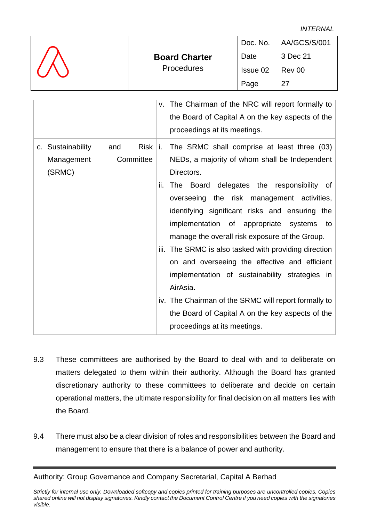|            |                      |          | Doc. No. AA/GCS/S/001 |
|------------|----------------------|----------|-----------------------|
| $\sqrt{ }$ | <b>Board Charter</b> | Date     | 3 Dec 21              |
|            | Procedures           | Issue 02 | Rev 00                |
|            |                      | Page     |                       |

|                                           |                                    | v. The Chairman of the NRC will report formally to<br>the Board of Capital A on the key aspects of the<br>proceedings at its meetings.                                                                                                                                                                                                                                                                                                                                                                                                                                                                                                                                           |
|-------------------------------------------|------------------------------------|----------------------------------------------------------------------------------------------------------------------------------------------------------------------------------------------------------------------------------------------------------------------------------------------------------------------------------------------------------------------------------------------------------------------------------------------------------------------------------------------------------------------------------------------------------------------------------------------------------------------------------------------------------------------------------|
| c. Sustainability<br>Management<br>(SRMC) | and<br>$Risk \mid i.$<br>Committee | The SRMC shall comprise at least three (03)<br>NEDs, a majority of whom shall be Independent<br>Directors.<br>The Board delegates the responsibility of<br>ii.<br>overseeing the risk management activities,<br>identifying significant risks and ensuring the<br>implementation of appropriate systems to<br>manage the overall risk exposure of the Group.<br>iii. The SRMC is also tasked with providing direction<br>on and overseeing the effective and efficient<br>implementation of sustainability strategies in<br>AirAsia.<br>iv. The Chairman of the SRMC will report formally to<br>the Board of Capital A on the key aspects of the<br>proceedings at its meetings. |

- 9.3 These committees are authorised by the Board to deal with and to deliberate on matters delegated to them within their authority. Although the Board has granted discretionary authority to these committees to deliberate and decide on certain operational matters, the ultimate responsibility for final decision on all matters lies with the Board.
- 9.4 There must also be a clear division of roles and responsibilities between the Board and management to ensure that there is a balance of power and authority.

Authority: Group Governance and Company Secretarial, Capital A Berhad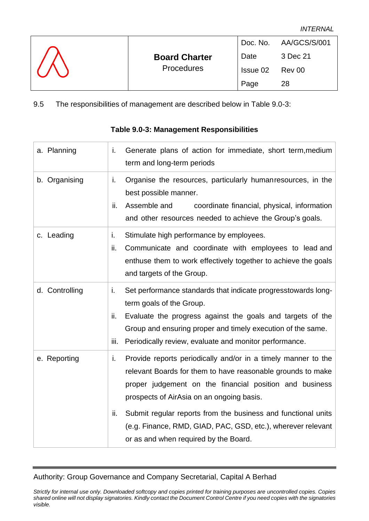|            |                      |          | Doc. No. AA/GCS/S/001 |
|------------|----------------------|----------|-----------------------|
|            | <b>Board Charter</b> | Date     | 3 Dec 21              |
| $\sqrt{2}$ | Procedures           | Issue 02 | <b>Rev 00</b>         |
|            |                      | Page     | 28                    |

9.5 The responsibilities of management are described below in Table 9.0-3:

# a. Planning  $\parallel$  i. Generate plans of action for immediate, short term, medium term and long-term periods b. Organising  $\parallel$  i. Organise the resources, particularly humanresources, in the best possible manner. ii. Assemble and coordinate financial, physical, information and other resources needed to achieve the Group's goals. c. Leading  $\vert$  i. Stimulate high performance by employees. ii. Communicate and coordinate with employees to lead and enthuse them to work effectively together to achieve the goals and targets of the Group. d. Controlling  $\parallel$  i. Set performance standards that indicate progresstowards longterm goals of the Group. ii. Evaluate the progress against the goals and targets of the Group and ensuring proper and timely execution of the same. iii. Periodically review, evaluate and monitor performance. e. Reporting  $\vert$  i. Provide reports periodically and/or in a timely manner to the relevant Boards for them to have reasonable grounds to make proper judgement on the financial position and business prospects of AirAsia on an ongoing basis. ii. Submit regular reports from the business and functional units (e.g. Finance, RMD, GIAD, PAC, GSD, etc.), wherever relevant or as and when required by the Board.

# **Table 9.0-3: Management Responsibilities**

Authority: Group Governance and Company Secretarial, Capital A Berhad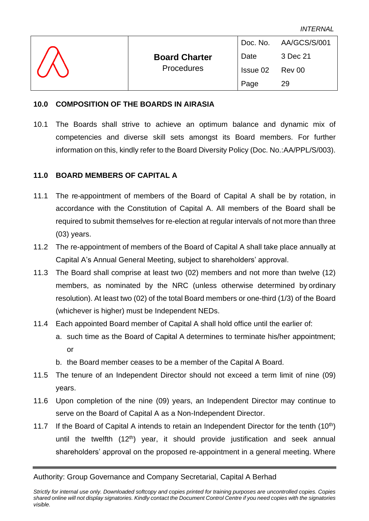|             |                      |          | Doc. No. AA/GCS/S/001 |
|-------------|----------------------|----------|-----------------------|
| $\bigwedge$ | <b>Board Charter</b> | Date     | 3 Dec 21              |
|             | <b>Procedures</b>    | Issue 02 | Rev 00                |
|             |                      | Page     | 29                    |

#### <span id="page-32-0"></span>**10.0 COMPOSITION OF THE BOARDS IN AIRASIA**

10.1 The Boards shall strive to achieve an optimum balance and dynamic mix of competencies and diverse skill sets amongst its Board members. For further information on this, kindly refer to the Board Diversity Policy (Doc. No.:AA/PPL/S/003).

#### <span id="page-32-1"></span>**11.0 BOARD MEMBERS OF CAPITAL A**

- 11.1 The re-appointment of members of the Board of Capital A shall be by rotation, in accordance with the Constitution of Capital A. All members of the Board shall be required to submit themselves for re-election at regular intervals of not more than three (03) years.
- 11.2 The re-appointment of members of the Board of Capital A shall take place annually at Capital A's Annual General Meeting, subject to shareholders' approval.
- 11.3 The Board shall comprise at least two (02) members and not more than twelve (12) members, as nominated by the NRC (unless otherwise determined by ordinary resolution). At least two (02) of the total Board members or one-third (1/3) of the Board (whichever is higher) must be Independent NEDs.
- 11.4 Each appointed Board member of Capital A shall hold office until the earlier of:
	- a. such time as the Board of Capital A determines to terminate his/her appointment; or
	- b. the Board member ceases to be a member of the Capital A Board.
- 11.5 The tenure of an Independent Director should not exceed a term limit of nine (09) years.
- 11.6 Upon completion of the nine (09) years, an Independent Director may continue to serve on the Board of Capital A as a Non-Independent Director.
- 11.7 If the Board of Capital A intends to retain an Independent Director for the tenth  $(10<sup>th</sup>)$ until the twelfth  $(12<sup>th</sup>)$  year, it should provide justification and seek annual shareholders' approval on the proposed re-appointment in a general meeting. Where

#### Authority: Group Governance and Company Secretarial, Capital A Berhad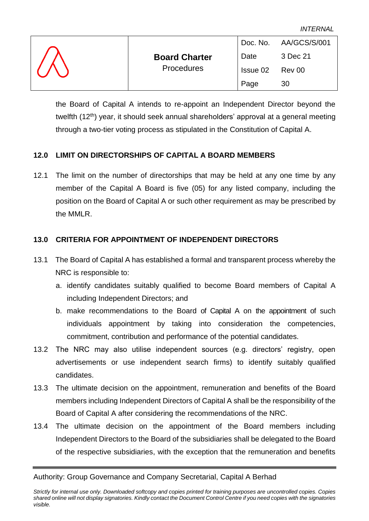|                  |                      |          | Doc. No. AA/GCS/S/001 |
|------------------|----------------------|----------|-----------------------|
| $\sqrt{\lambda}$ | <b>Board Charter</b> | Date     | 3 Dec 21              |
|                  | Procedures           | Issue 02 | <b>Rev 00</b>         |
|                  |                      | Page     | 30                    |

the Board of Capital A intends to re-appoint an Independent Director beyond the twelfth (12<sup>th</sup>) year, it should seek annual shareholders' approval at a general meeting through a two-tier voting process as stipulated in the Constitution of Capital A.

# <span id="page-33-0"></span>**12.0 LIMIT ON DIRECTORSHIPS OF CAPITAL A BOARD MEMBERS**

12.1 The limit on the number of directorships that may be held at any one time by any member of the Capital A Board is five (05) for any listed company, including the position on the Board of Capital A or such other requirement as may be prescribed by the MMLR.

#### <span id="page-33-1"></span>**13.0 CRITERIA FOR APPOINTMENT OF INDEPENDENT DIRECTORS**

- 13.1 The Board of Capital A has established a formal and transparent process whereby the NRC is responsible to:
	- a. identify candidates suitably qualified to become Board members of Capital A including Independent Directors; and
	- b. make recommendations to the Board of Capital A on the appointment of such individuals appointment by taking into consideration the competencies, commitment, contribution and performance of the potential candidates.
- 13.2 The NRC may also utilise independent sources (e.g. directors' registry, open advertisements or use independent search firms) to identify suitably qualified candidates.
- 13.3 The ultimate decision on the appointment, remuneration and benefits of the Board members including Independent Directors of Capital A shall be the responsibility of the Board of Capital A after considering the recommendations of the NRC.
- 13.4 The ultimate decision on the appointment of the Board members including Independent Directors to the Board of the subsidiaries shall be delegated to the Board of the respective subsidiaries, with the exception that the remuneration and benefits

#### Authority: Group Governance and Company Secretarial, Capital A Berhad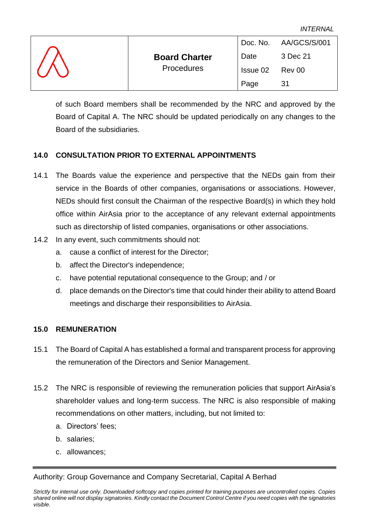|           |                      |          | Doc. No. AA/GCS/S/001 |
|-----------|----------------------|----------|-----------------------|
|           | <b>Board Charter</b> | Date     | 3 Dec 21              |
| $\Lambda$ | Procedures           | Issue 02 | Rev 00                |
|           |                      | Page     | 31                    |

of such Board members shall be recommended by the NRC and approved by the Board of Capital A. The NRC should be updated periodically on any changes to the Board of the subsidiaries.

# <span id="page-34-0"></span>**14.0 CONSULTATION PRIOR TO EXTERNAL APPOINTMENTS**

- 14.1 The Boards value the experience and perspective that the NEDs gain from their service in the Boards of other companies, organisations or associations. However, NEDs should first consult the Chairman of the respective Board(s) in which they hold office within AirAsia prior to the acceptance of any relevant external appointments such as directorship of listed companies, organisations or other associations.
- 14.2 In any event, such commitments should not:
	- a. cause a conflict of interest for the Director;
	- b. affect the Director's independence;
	- c. have potential reputational consequence to the Group; and / or
	- d. place demands on the Director's time that could hinder their ability to attend Board meetings and discharge their responsibilities to AirAsia.

#### <span id="page-34-1"></span>**15.0 REMUNERATION**

- 15.1 The Board of Capital A has established a formal and transparent process for approving the remuneration of the Directors and Senior Management.
- 15.2 The NRC is responsible of reviewing the remuneration policies that support AirAsia's shareholder values and long-term success. The NRC is also responsible of making recommendations on other matters, including, but not limited to:
	- a. Directors' fees;
	- b. salaries;
	- c. allowances;

# Authority: Group Governance and Company Secretarial, Capital A Berhad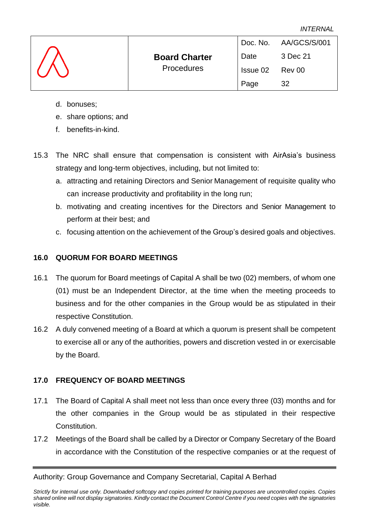| <b>INTERNAL</b> |  |
|-----------------|--|
|-----------------|--|

|                  |                      |          | Doc. No. AA/GCS/S/001 |
|------------------|----------------------|----------|-----------------------|
| $\sqrt{\Lambda}$ | <b>Board Charter</b> | Date     | 3 Dec 21              |
|                  | <b>Procedures</b>    | Issue 02 | Rev 00                |
|                  |                      | Page     | 32                    |

- d. bonuses;
- e. share options; and
- f. benefits-in-kind.
- 15.3 The NRC shall ensure that compensation is consistent with AirAsia's business strategy and long-term objectives, including, but not limited to:
	- a. attracting and retaining Directors and Senior Management of requisite quality who can increase productivity and profitability in the long run;
	- b. motivating and creating incentives for the Directors and Senior Management to perform at their best; and
	- c. focusing attention on the achievement of the Group's desired goals and objectives.

# <span id="page-35-0"></span>**16.0 QUORUM FOR BOARD MEETINGS**

- 16.1 The quorum for Board meetings of Capital A shall be two (02) members, of whom one (01) must be an Independent Director, at the time when the meeting proceeds to business and for the other companies in the Group would be as stipulated in their respective Constitution.
- 16.2 A duly convened meeting of a Board at which a quorum is present shall be competent to exercise all or any of the authorities, powers and discretion vested in or exercisable by the Board.

# <span id="page-35-1"></span>**17.0 FREQUENCY OF BOARD MEETINGS**

- 17.1 The Board of Capital A shall meet not less than once every three (03) months and for the other companies in the Group would be as stipulated in their respective Constitution.
- 17.2 Meetings of the Board shall be called by a Director or Company Secretary of the Board in accordance with the Constitution of the respective companies or at the request of

Authority: Group Governance and Company Secretarial, Capital A Berhad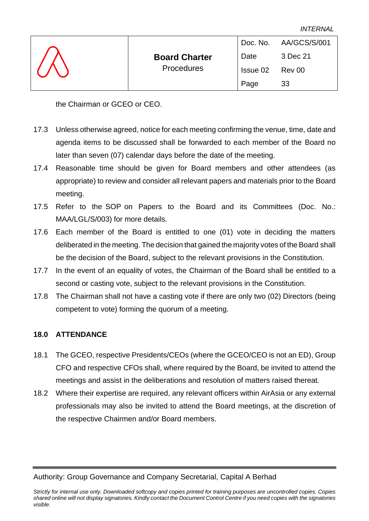| <b>INTERNAL</b> |
|-----------------|
|-----------------|

|                  |                      |          | Doc. No. AA/GCS/S/001 |
|------------------|----------------------|----------|-----------------------|
| $\sqrt{\Lambda}$ | <b>Board Charter</b> | Date     | 3 Dec 21              |
|                  | <b>Procedures</b>    | Issue 02 | Rev 00                |
|                  |                      | Page     | 33                    |

the Chairman or GCEO or CEO.

- 17.3 Unless otherwise agreed, notice for each meeting confirming the venue, time, date and agenda items to be discussed shall be forwarded to each member of the Board no later than seven (07) calendar days before the date of the meeting.
- 17.4 Reasonable time should be given for Board members and other attendees (as appropriate) to review and consider all relevant papers and materials prior to the Board meeting.
- 17.5 Refer to the SOP on Papers to the Board and its Committees (Doc. No.: MAA/LGL/S/003) for more details.
- 17.6 Each member of the Board is entitled to one (01) vote in deciding the matters deliberated in the meeting. The decision that gained the majority votes of the Board shall be the decision of the Board, subject to the relevant provisions in the Constitution.
- 17.7 In the event of an equality of votes, the Chairman of the Board shall be entitled to a second or casting vote, subject to the relevant provisions in the Constitution.
- 17.8 The Chairman shall not have a casting vote if there are only two (02) Directors (being competent to vote) forming the quorum of a meeting.

# <span id="page-36-0"></span>**18.0 ATTENDANCE**

- 18.1 The GCEO, respective Presidents/CEOs (where the GCEO/CEO is not an ED), Group CFO and respective CFOs shall, where required by the Board, be invited to attend the meetings and assist in the deliberations and resolution of matters raised thereat.
- 18.2 Where their expertise are required, any relevant officers within AirAsia or any external professionals may also be invited to attend the Board meetings, at the discretion of the respective Chairmen and/or Board members.

Authority: Group Governance and Company Secretarial, Capital A Berhad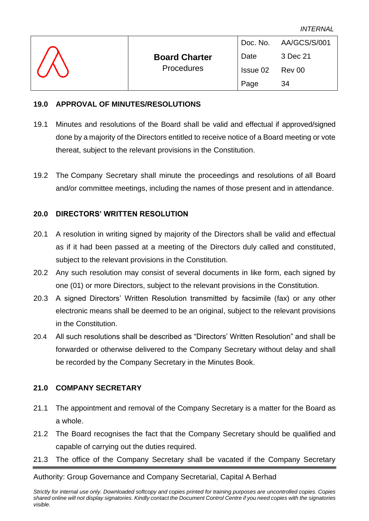|                  |                      |          | Doc. No. AA/GCS/S/001 |
|------------------|----------------------|----------|-----------------------|
| $\sqrt{\Lambda}$ | <b>Board Charter</b> | Date     | 3 Dec 21              |
|                  | <b>Procedures</b>    | Issue 02 | <b>Rev 00</b>         |
|                  |                      | Page     | 34                    |

#### <span id="page-37-0"></span>**19.0 APPROVAL OF MINUTES/RESOLUTIONS**

- 19.1 Minutes and resolutions of the Board shall be valid and effectual if approved/signed done by a majority of the Directors entitled to receive notice of a Board meeting or vote thereat, subject to the relevant provisions in the Constitution.
- 19.2 The Company Secretary shall minute the proceedings and resolutions of all Board and/or committee meetings, including the names of those present and in attendance.

#### <span id="page-37-1"></span>**20.0 DIRECTORS' WRITTEN RESOLUTION**

- 20.1 A resolution in writing signed by majority of the Directors shall be valid and effectual as if it had been passed at a meeting of the Directors duly called and constituted, subject to the relevant provisions in the Constitution.
- 20.2 Any such resolution may consist of several documents in like form, each signed by one (01) or more Directors, subject to the relevant provisions in the Constitution.
- 20.3 A signed Directors' Written Resolution transmitted by facsimile (fax) or any other electronic means shall be deemed to be an original, subject to the relevant provisions in the Constitution.
- 20.4 All such resolutions shall be described as "Directors' Written Resolution" and shall be forwarded or otherwise delivered to the Company Secretary without delay and shall be recorded by the Company Secretary in the Minutes Book.

# <span id="page-37-2"></span>**21.0 COMPANY SECRETARY**

- 21.1 The appointment and removal of the Company Secretary is a matter for the Board as a whole.
- 21.2 The Board recognises the fact that the Company Secretary should be qualified and capable of carrying out the duties required.
- 21.3 The office of the Company Secretary shall be vacated if the Company Secretary

Authority: Group Governance and Company Secretarial, Capital A Berhad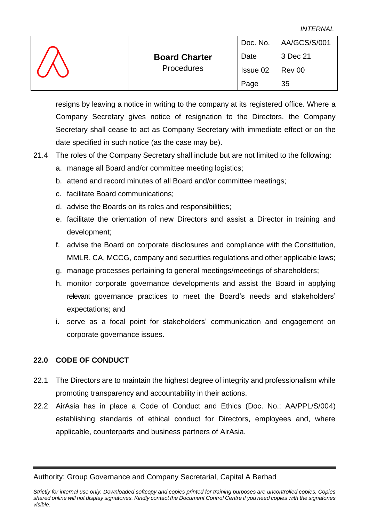| <b>INTERNAL</b> |
|-----------------|
|-----------------|

|                  |                      |          | Doc. No. AA/GCS/S/001 |
|------------------|----------------------|----------|-----------------------|
| $\sqrt{\lambda}$ | <b>Board Charter</b> | Date     | 3 Dec 21              |
|                  | <b>Procedures</b>    | Issue 02 | Rev 00                |
|                  |                      | Page     | 35                    |

resigns by leaving a notice in writing to the company at its registered office. Where a Company Secretary gives notice of resignation to the Directors, the Company Secretary shall cease to act as Company Secretary with immediate effect or on the date specified in such notice (as the case may be).

- 21.4 The roles of the Company Secretary shall include but are not limited to the following:
	- a. manage all Board and/or committee meeting logistics;
	- b. attend and record minutes of all Board and/or committee meetings;
	- c. facilitate Board communications;
	- d. advise the Boards on its roles and responsibilities;
	- e. facilitate the orientation of new Directors and assist a Director in training and development;
	- f. advise the Board on corporate disclosures and compliance with the Constitution, MMLR, CA, MCCG, company and securities regulations and other applicable laws;
	- g. manage processes pertaining to general meetings/meetings of shareholders;
	- h. monitor corporate governance developments and assist the Board in applying relevant governance practices to meet the Board's needs and stakeholders' expectations; and
	- i. serve as a focal point for stakeholders' communication and engagement on corporate governance issues.

# <span id="page-38-0"></span>**22.0 CODE OF CONDUCT**

- 22.1 The Directors are to maintain the highest degree of integrity and professionalism while promoting transparency and accountability in their actions.
- 22.2 AirAsia has in place a Code of Conduct and Ethics (Doc. No.: AA/PPL/S/004) establishing standards of ethical conduct for Directors, employees and, where applicable, counterparts and business partners of AirAsia.

Authority: Group Governance and Company Secretarial, Capital A Berhad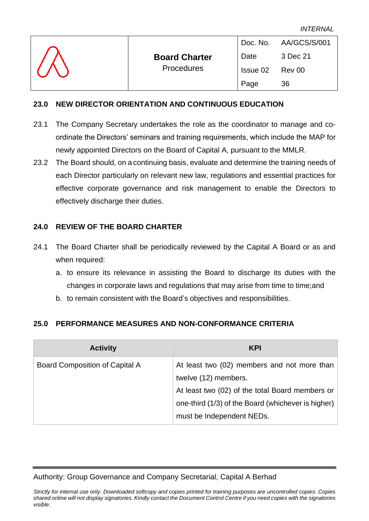| $\sqrt{\lambda}$ |                                    |          | Doc. No. AA/GCS/S/001 |
|------------------|------------------------------------|----------|-----------------------|
|                  | <b>Board Charter</b><br>Procedures | Date     | 3 Dec 21              |
|                  |                                    | Issue 02 | Rev 00                |
|                  |                                    | Page     | 36                    |

#### <span id="page-39-0"></span>**23.0 NEW DIRECTOR ORIENTATION AND CONTINUOUS EDUCATION**

- 23.1 The Company Secretary undertakes the role as the coordinator to manage and coordinate the Directors' seminars and training requirements, which include the MAP for newly appointed Directors on the Board of Capital A, pursuant to the MMLR.
- 23.2 The Board should, on a continuing basis, evaluate and determine the training needs of each Director particularly on relevant new law, regulations and essential practices for effective corporate governance and risk management to enable the Directors to effectively discharge their duties.

#### <span id="page-39-1"></span>**24.0 REVIEW OF THE BOARD CHARTER**

- 24.1 The Board Charter shall be periodically reviewed by the Capital A Board or as and when required:
	- a. to ensure its relevance in assisting the Board to discharge its duties with the changes in corporate laws and regulations that may arise from time to time;and
	- b. to remain consistent with the Board's objectives and responsibilities.

# <span id="page-39-2"></span>**25.0 PERFORMANCE MEASURES AND NON-CONFORMANCE CRITERIA**

| <b>Activity</b>                | <b>KPI</b>                                                                                                                                                                                                |
|--------------------------------|-----------------------------------------------------------------------------------------------------------------------------------------------------------------------------------------------------------|
| Board Composition of Capital A | At least two (02) members and not more than<br>twelve (12) members.<br>At least two (02) of the total Board members or<br>one-third (1/3) of the Board (whichever is higher)<br>must be Independent NEDs. |

Authority: Group Governance and Company Secretarial, Capital A Berhad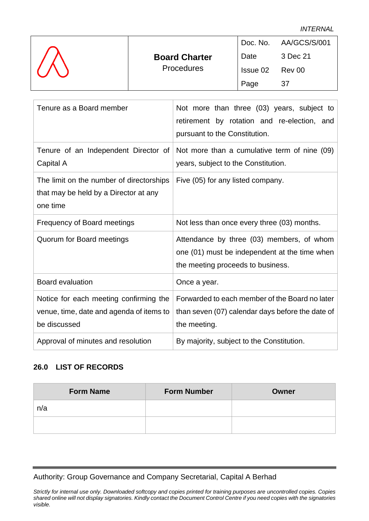|                      |                                           |          | Doc. No. AA/GCS/S/001 |
|----------------------|-------------------------------------------|----------|-----------------------|
| $\sqrt{\mathcal{N}}$ | <b>Board Charter</b><br><b>Procedures</b> | Date     | 3 Dec 21              |
|                      |                                           | Issue 02 | Rev 00                |
|                      |                                           | Page     | 37                    |

| Tenure as a Board member                                                                           | Not more than three (03) years, subject to<br>retirement by rotation and re-election, and<br>pursuant to the Constitution.      |
|----------------------------------------------------------------------------------------------------|---------------------------------------------------------------------------------------------------------------------------------|
| Tenure of an Independent Director of<br>Capital A                                                  | Not more than a cumulative term of nine (09)<br>years, subject to the Constitution.                                             |
| The limit on the number of directorships<br>that may be held by a Director at any<br>one time      | Five (05) for any listed company.                                                                                               |
| Frequency of Board meetings                                                                        | Not less than once every three (03) months.                                                                                     |
| Quorum for Board meetings                                                                          | Attendance by three (03) members, of whom<br>one (01) must be independent at the time when<br>the meeting proceeds to business. |
| <b>Board evaluation</b>                                                                            | Once a year.                                                                                                                    |
| Notice for each meeting confirming the<br>venue, time, date and agenda of items to<br>be discussed | Forwarded to each member of the Board no later<br>than seven (07) calendar days before the date of<br>the meeting.              |
| Approval of minutes and resolution                                                                 | By majority, subject to the Constitution.                                                                                       |

# <span id="page-40-0"></span>**26.0 LIST OF RECORDS**

| <b>Form Name</b> | <b>Form Number</b> | <b>Owner</b> |
|------------------|--------------------|--------------|
| n/a              |                    |              |
|                  |                    |              |

# Authority: Group Governance and Company Secretarial, Capital A Berhad